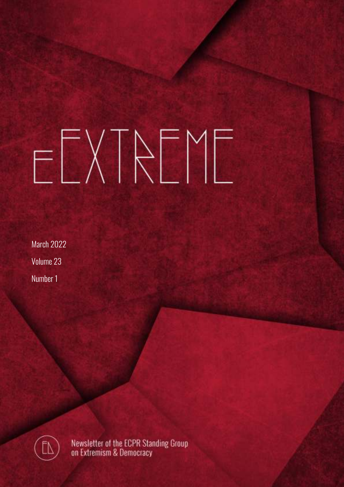# ELXTAEME

March 2022 Volume 23 Number 1



Newsletter of the ECPR Standing Group<br>on Extremism & Democracy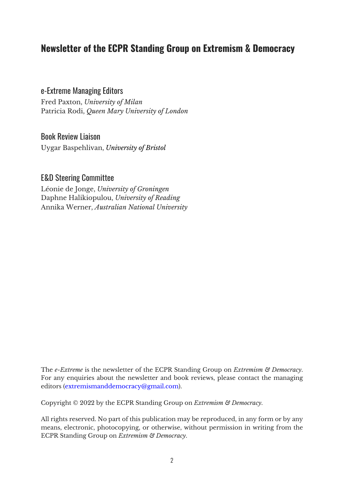#### **Newsletter of the ECPR Standing Group on Extremism & Democracy**

#### e-Extreme Managing Editors

Fred Paxton, *University of Milan* Patricia Rodi, *Queen Mary University of London*

#### Book Review Liaison

Uygar Baspehlivan, *University of Bristol*

#### E&D Steering Committee

Léonie de Jonge, *University of Groningen* Daphne Halikiopulou, *University of Reading* Annika Werner, *Australian National University*

The *e-Extreme* is the newsletter of the ECPR Standing Group on *Extremism & Democracy*. For any enquiries about the newsletter and book reviews, please contact the managing editors (extremismanddemocracy@gmail.com).

Copyright © 2022 by the ECPR Standing Group on *Extremism & Democracy*.

All rights reserved. No part of this publication may be reproduced, in any form or by any means, electronic, photocopying, or otherwise, without permission in writing from the ECPR Standing Group on *Extremism & Democracy*.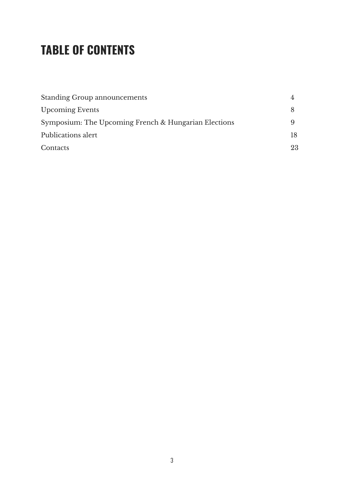# **TABLE OF CONTENTS**

| <b>Standing Group announcements</b>                  |    |
|------------------------------------------------------|----|
| <b>Upcoming Events</b>                               |    |
| Symposium: The Upcoming French & Hungarian Elections |    |
| Publications alert                                   |    |
| Contacts                                             | 23 |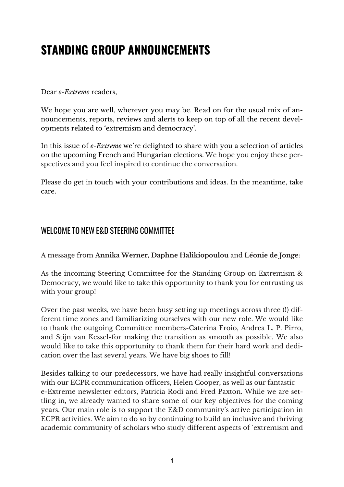# **STANDING GROUP ANNOUNCEMENTS**

#### Dear *e-Extreme* readers,

We hope you are well, wherever you may be. Read on for the usual mix of announcements, reports, reviews and alerts to keep on top of all the recent developments related to 'extremism and democracy'.

In this issue of *e-Extreme* we're delighted to share with you a selection of articles on the upcoming French and Hungarian elections. We hope you enjoy these perspectives and you feel inspired to continue the conversation.

Please do get in touch with your contributions and ideas. In the meantime, take care.

#### WELCOME TO NEW E&D STEERING COMMITTEE

A message from **Annika Werner, Daphne Halikiopoulou** and **Léonie de Jonge**:

As the incoming Steering Committee for the Standing Group on Extremism & Democracy, we would like to take this opportunity to thank you for entrusting us with your group!

Over the past weeks, we have been busy setting up meetings across three (!) different time zones and familiarizing ourselves with our new role. We would like to thank the outgoing Committee members-Caterina Froio, Andrea L. P. Pirro, and Stijn van Kessel-for making the transition as smooth as possible. We also would like to take this opportunity to thank them for their hard work and dedication over the last several years. We have big shoes to fill!

Besides talking to our predecessors, we have had really insightful conversations with our ECPR communication officers, Helen Cooper, as well as our fantastic e-Extreme newsletter editors, Patricia Rodi and Fred Paxton. While we are settling in, we already wanted to share some of our key objectives for the coming years. Our main role is to support the E&D community's active participation in ECPR activities. We aim to do so by continuing to build an inclusive and thriving academic community of scholars who study different aspects of 'extremism and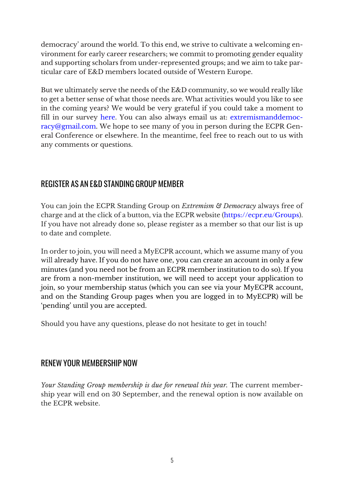democracy' around the world. To this end, we strive to cultivate a welcoming environment for early career researchers; we commit to promoting gender equality and supporting scholars from under-represented groups; and we aim to take particular care of E&D members located outside of Western Europe.

But we ultimately serve the needs of the E&D community, so we would really like to get a better sense of what those needs are. What activities would you like to see in the coming years? We would be very grateful if you could take a moment to fill in our survey here. You can also always email us at: extremismanddemocracy@gmail.com. We hope to see many of you in person during the ECPR General Conference or elsewhere. In the meantime, feel free to reach out to us with any comments or questions.

#### REGISTER AS AN E&D STANDING GROUP MEMBER

You can join the ECPR Standing Group on *Extremism & Democracy* always free of charge and at the click of a button, via the ECPR website (https://ecpr.eu/Groups). If you have not already done so, please register as a member so that our list is up to date and complete.

In order to join, you will need a MyECPR account, which we assume many of you will already have. If you do not have one, you can create an account in only a few minutes (and you need not be from an ECPR member institution to do so). If you are from a non-member institution, we will need to accept your application to join, so your membership status (which you can see via your MyECPR account, and on the Standing Group pages when you are logged in to MyECPR) will be 'pending' until you are accepted.

Should you have any questions, please do not hesitate to get in touch!

#### RENEW YOUR MEMBERSHIP NOW

*Your Standing Group membership is due for renewal this year.* The current membership year will end on 30 September, and the renewal option is now available on the ECPR website.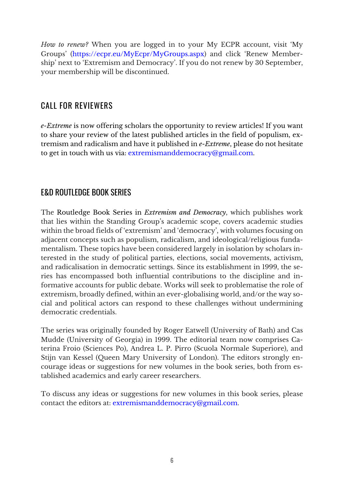*How to renew?* When you are logged in to your My ECPR account, visit 'My Groups' (https://ecpr.eu/MyEcpr/MyGroups.aspx) and click 'Renew Membership' next to 'Extremism and Democracy'. If you do not renew by 30 September, your membership will be discontinued.

#### CALL FOR REVIEWERS

*e-Extreme* is now offering scholars the opportunity to review articles! If you want to share your review of the latest published articles in the field of populism, extremism and radicalism and have it published in *e-Extreme*, please do not hesitate to get in touch with us via: extremismanddemocracy@gmail.com.

#### E&D ROUTLEDGE BOOK SERIES

The Routledge Book Series in *Extremism and Democracy*, which publishes work that lies within the Standing Group's academic scope, covers academic studies within the broad fields of 'extremism' and 'democracy', with volumes focusing on adjacent concepts such as populism, radicalism, and ideological/religious fundamentalism. These topics have been considered largely in isolation by scholars interested in the study of political parties, elections, social movements, activism, and radicalisation in democratic settings. Since its establishment in 1999, the series has encompassed both influential contributions to the discipline and informative accounts for public debate. Works will seek to problematise the role of extremism, broadly defined, within an ever-globalising world, and/or the way social and political actors can respond to these challenges without undermining democratic credentials.

The series was originally founded by Roger Eatwell (University of Bath) and Cas Mudde (University of Georgia) in 1999. The editorial team now comprises Caterina Froio (Sciences Po), Andrea L. P. Pirro (Scuola Normale Superiore), and Stijn van Kessel (Queen Mary University of London). The editors strongly encourage ideas or suggestions for new volumes in the book series, both from established academics and early career researchers.

To discuss any ideas or suggestions for new volumes in this book series, please contact the editors at: extremismanddemocracy@gmail.com.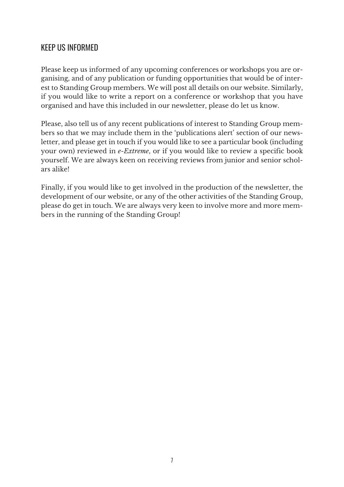#### KEEP US INFORMED

Please keep us informed of any upcoming conferences or workshops you are organising, and of any publication or funding opportunities that would be of interest to Standing Group members. We will post all details on our website. Similarly, if you would like to write a report on a conference or workshop that you have organised and have this included in our newsletter, please do let us know.

Please, also tell us of any recent publications of interest to Standing Group members so that we may include them in the 'publications alert' section of our newsletter, and please get in touch if you would like to see a particular book (including your own) reviewed in *e-Extreme*, or if you would like to review a specific book yourself. We are always keen on receiving reviews from junior and senior scholars alike!

Finally, if you would like to get involved in the production of the newsletter, the development of our website, or any of the other activities of the Standing Group, please do get in touch. We are always very keen to involve more and more members in the running of the Standing Group!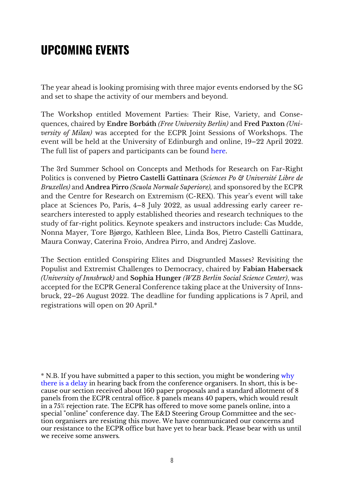# **UPCOMING EVENTS**

The year ahead is looking promising with three major events endorsed by the SG and set to shape the activity of our members and beyond.

The Workshop entitled Movement Parties: Their Rise, Variety, and Consequences, chaired by **Endre Borbáth** *(Free University Berlin)* and **Fred Paxton** *(University of Milan)* was accepted for the ECPR Joint Sessions of Workshops. The event will be held at the University of Edinburgh and online, 19–22 April 2022. The full list of papers and participants can be found here.

The 3rd Summer School on Concepts and Methods for Research on Far-Right Politics is convened by **Pietro Castelli Gattinara** (*Sciences Po & Université Libre de Bruxelles)* and **Andrea Pirro** *(Scuola Normale Superiore),* and sponsored by the ECPR and the Centre for Research on Extremism (C-REX). This year's event will take place at Sciences Po, Paris, 4–8 July 2022, as usual addressing early career researchers interested to apply established theories and research techniques to the study of far-right politics. Keynote speakers and instructors include: Cas Mudde, Nonna Mayer, Tore Bjørgo, Kathleen Blee, Linda Bos, Pietro Castelli Gattinara, Maura Conway, Caterina Froio, Andrea Pirro, and Andrej Zaslove.

The Section entitled Conspiring Elites and Disgruntled Masses? Revisiting the Populist and Extremist Challenges to Democracy, chaired by **Fabian Habersack** *(University of Innsbruck)* and **Sophia Hunger** *(WZB Berlin Social Science Center)*, was accepted for the ECPR General Conference taking place at the University of Innsbruck, 22–26 August 2022. The deadline for funding applications is 7 April, and registrations will open on 20 April.\*

\* N.B. If you have submitted a paper to this section, you might be wondering why there is a delay in hearing back from the conference organisers. In short, this is because our section received about 160 paper proposals and a standard allotment of 8 panels from the ECPR central office. 8 panels means 40 papers, which would result in a 75% rejection rate. The ECPR has offered to move some panels online, into a special "online" conference day. The E&D Steering Group Committee and the section organisers are resisting this move. We have communicated our concerns and our resistance to the ECPR office but have yet to hear back. Please bear with us until we receive some answers*.*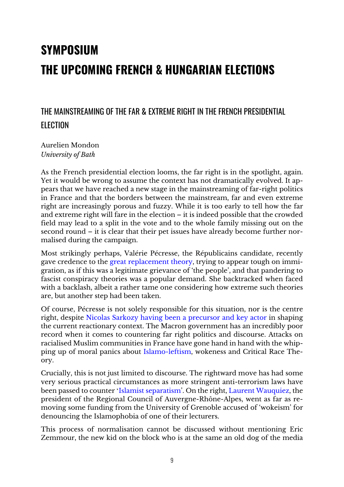# **SYMPOSIUM THE UPCOMING FRENCH & HUNGARIAN ELECTIONS**

#### THE MAINSTREAMING OF THE FAR & EXTREME RIGHT IN THE FRENCH PRESIDENTIAL ELECTION

Aurelien Mondon *University of Bath*

As the French presidential election looms, the far right is in the spotlight, again. Yet it would be wrong to assume the context has not dramatically evolved. It appears that we have reached a new stage in the mainstreaming of far-right politics in France and that the borders between the mainstream, far and even extreme right are increasingly porous and fuzzy. While it is too early to tell how the far and extreme right will fare in the election – it is indeed possible that the crowded field may lead to a split in the vote and to the whole family missing out on the second round – it is clear that their pet issues have already become further normalised during the campaign.

Most strikingly perhaps, Valérie Pécresse, the Républicains candidate, recently gave credence to the great replacement theory, trying to appear tough on immigration, as if this was a legitimate grievance of 'the people', and that pandering to fascist conspiracy theories was a popular demand. She backtracked when faced with a backlash, albeit a rather tame one considering how extreme such theories are, but another step had been taken.

Of course, Pécresse is not solely responsible for this situation, nor is the centre right, despite Nicolas Sarkozy having been a precursor and key actor in shaping the current reactionary context. The Macron government has an incredibly poor record when it comes to countering far right politics and discourse. Attacks on racialised Muslim communities in France have gone hand in hand with the whipping up of moral panics about Islamo-leftism, wokeness and Critical Race Theory.

Crucially, this is not just limited to discourse. The rightward move has had some very serious practical circumstances as more stringent anti-terrorism laws have been passed to counter 'Islamist separatism'. On the right, Laurent Wauquiez, the president of the Regional Council of Auvergne-Rhône-Alpes, went as far as removing some funding from the University of Grenoble accused of 'wokeism' for denouncing the Islamophobia of one of their lecturers.

This process of normalisation cannot be discussed without mentioning Eric Zemmour, the new kid on the block who is at the same an old dog of the media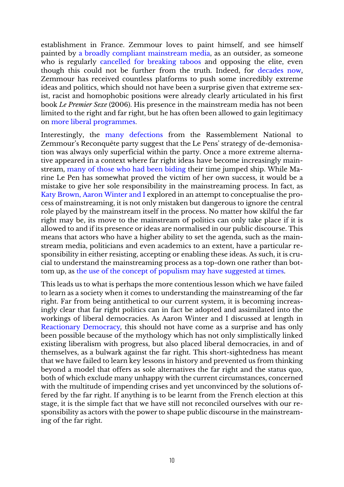establishment in France. Zemmour loves to paint himself, and see himself painted by a broadly compliant mainstream media, as an outsider, as someone who is regularly cancelled for breaking taboos and opposing the elite, even though this could not be further from the truth. Indeed, for decades now, Zemmour has received countless platforms to push some incredibly extreme ideas and politics, which should not have been a surprise given that extreme sexist, racist and homophobic positions were already clearly articulated in his first book *Le Premier Sexe* (2006). His presence in the mainstream media has not been limited to the right and far right, but he has often been allowed to gain legitimacy on more liberal programmes.

Interestingly, the many defections from the Rassemblement National to Zemmour's Reconquête party suggest that the Le Pens' strategy of de-demonisation was always only superficial within the party. Once a more extreme alternative appeared in a context where far right ideas have become increasingly mainstream, many of those who had been biding their time jumped ship. While Marine Le Pen has somewhat proved the victim of her own success, it would be a mistake to give her sole responsibility in the mainstreaming process. In fact, as Katy Brown, Aaron Winter and I explored in an attempt to conceptualise the process of mainstreaming, it is not only mistaken but dangerous to ignore the central role played by the mainstream itself in the process. No matter how skilful the far right may be, its move to the mainstream of politics can only take place if it is allowed to and if its presence or ideas are normalised in our public discourse. This means that actors who have a higher ability to set the agenda, such as the mainstream media, politicians and even academics to an extent, have a particular responsibility in either resisting, accepting or enabling these ideas. As such, it is crucial to understand the mainstreaming process as a top-down one rather than bottom up, as the use of the concept of populism may have suggested at times.

This leads us to what is perhaps the more contentious lesson which we have failed to learn as a society when it comes to understanding the mainstreaming of the far right. Far from being antithetical to our current system, it is becoming increasingly clear that far right politics can in fact be adopted and assimilated into the workings of liberal democracies. As Aaron Winter and I discussed at length in Reactionary Democracy*,* this should not have come as a surprise and has only been possible because of the mythology which has not only simplistically linked existing liberalism with progress, but also placed liberal democracies, in and of themselves, as a bulwark against the far right. This short-sightedness has meant that we have failed to learn key lessons in history and prevented us from thinking beyond a model that offers as sole alternatives the far right and the status quo, both of which exclude many unhappy with the current circumstances, concerned with the multitude of impending crises and yet unconvinced by the solutions offered by the far right. If anything is to be learnt from the French election at this stage, it is the simple fact that we have still not reconciled ourselves with our responsibility as actors with the power to shape public discourse in the mainstreaming of the far right.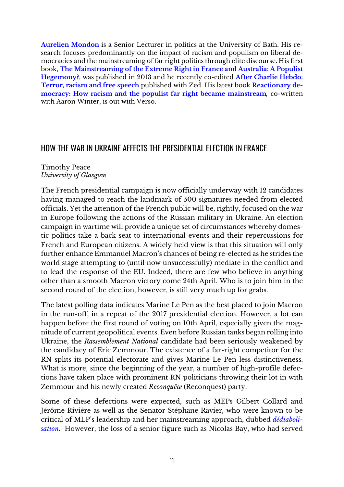**Aurelien Mondon** is a Senior Lecturer in politics at the University of Bath. His research focuses predominantly on the impact of racism and populism on liberal democracies and the mainstreaming of far right politics through elite discourse. His first book, **The Mainstreaming of the Extreme Right in France and Australia: A Populist Hegemony?**, was published in 2013 and he recently co-edited **After Charlie Hebdo: Terror, racism and free speech** published with Zed. His latest book **Reactionary democracy: How racism and the populist far right became mainstream***,* co-written with Aaron Winter, is out with Verso.

#### HOW THE WAR IN UKRAINE AFFECTS THE PRESIDENTIAL ELECTION IN FRANCE

#### Timothy Peace *University of Glasgow*

The French presidential campaign is now officially underway with 12 candidates having managed to reach the landmark of 500 signatures needed from elected officials. Yet the attention of the French public will be, rightly, focused on the war in Europe following the actions of the Russian military in Ukraine. An election campaign in wartime will provide a unique set of circumstances whereby domestic politics take a back seat to international events and their repercussions for French and European citizens. A widely held view is that this situation will only further enhance Emmanuel Macron's chances of being re-elected as he strides the world stage attempting to (until now unsuccessfully) mediate in the conflict and to lead the response of the EU. Indeed, there are few who believe in anything other than a smooth Macron victory come 24th April. Who is to join him in the second round of the election, however, is still very much up for grabs.

The latest polling data indicates Marine Le Pen as the best placed to join Macron in the run-off, in a repeat of the 2017 presidential election. However, a lot can happen before the first round of voting on 10th April, especially given the magnitude of current geopolitical events. Even before Russian tanks began rolling into Ukraine, the *Rassemblement National* candidate had been seriously weakened by the candidacy of Eric Zemmour. The existence of a far-right competitor for the RN splits its potential electorate and gives Marine Le Pen less distinctiveness. What is more, since the beginning of the year, a number of high-profile defections have taken place with prominent RN politicians throwing their lot in with Zemmour and his newly created *Reconquête* (Reconquest) party.

Some of these defections were expected, such as MEPs Gilbert Collard and Jérôme Rivière as well as the Senator Stéphane Ravier, who were known to be critical of MLP's leadership and her mainstreaming approach, dubbed *dédiabolisation*. However, the loss of a senior figure such as Nicolas Bay, who had served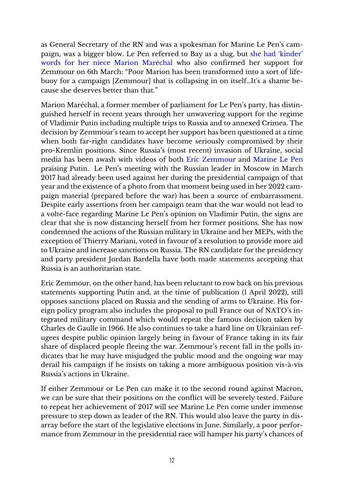as General Secretary of the RN and was a spokesman for Marine Le Pen's campaign, was a bigger blow. Le Pen referred to Bay as a slug, but she had 'kinder' words for her niece Marion Maréchal who also confirmed her support for Zemmour on 6th March: "Poor Marion has been transformed into a sort of lifebuoy for a campaign [Zemmour] that is collapsing in on itself…It's a shame because she deserves better than that."

Marion Maréchal, a former member of parliament for Le Pen's party, has distinguished herself in recent years through her unwavering support for the regime of Vladimir Putin including multiple trips to Russia and to annexed Crimea. The decision by Zemmour's team to accept her support has been questioned at a time when both far-right candidates have become seriously compromised by their pro-Kremlin positions. Since Russia's (most recent) invasion of Ukraine, social media has been awash with videos of both Eric Zemmour and Marine Le Pen praising Putin. Le Pen's meeting with the Russian leader in Moscow in March 2017 had already been used against her during the presidential campaign of that year and the existence of a photo from that moment being used in her 2022 campaign material (prepared before the war) has been a source of embarrassment. Despite early assertions from her campaign team that the war would not lead to a volte-face regarding Marine Le Pen's opinion on Vladimir Putin, the signs are clear that she is now distancing herself from her former positions. She has now condemned the actions of the Russian military in Ukraine and her MEPs, with the exception of Thierry Mariani, voted in favour of a resolution to provide more aid to Ukraine and increase sanctions on Russia. The RN candidate for the presidency and party president Jordan Bardella have both made statements accepting that Russia is an authoritarian state.

Eric Zemmour, on the other hand, has been reluctant to row back on his previous statements supporting Putin and, at the time of publication (1 April 2022), still opposes sanctions placed on Russia and the sending of arms to Ukraine. His foreign policy program also includes the proposal to pull France out of NATO's integrated military command which would repeat the famous decision taken by Charles de Gaulle in 1966. He also continues to take a hard line on Ukrainian refugees despite public opinion largely being in favour of France taking in its fair share of displaced people fleeing the war. Zemmour's recent fall in the polls indicates that he may have misjudged the public mood and the ongoing war may derail his campaign if he insists on taking a more ambiguous position vis-à-vis Russia's actions in Ukraine.

If either Zemmour or Le Pen can make it to the second round against Macron, we can be sure that their positions on the conflict will be severely tested. Failure to repeat her achievement of 2017 will see Marine Le Pen come under immense pressure to step down as leader of the RN. This would also leave the party in disarray before the start of the legislative elections in June. Similarly, a poor performance from Zemmour in the presidential race will hamper his party's chances of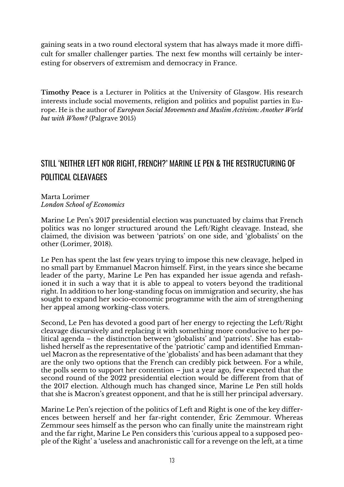gaining seats in a two round electoral system that has always made it more difficult for smaller challenger parties. The next few months will certainly be interesting for observers of extremism and democracy in France.

**Timothy Peace** is a Lecturer in Politics at the University of Glasgow. His research interests include social movements, religion and politics and populist parties in Europe. He is the author of *European Social Movements and Muslim Activism: Another World but with Whom?* (Palgrave 2015)

#### STILL 'NEITHER LEFT NOR RIGHT, FRENCH?' MARINE LE PEN & THE RESTRUCTURING OF POLITICAL CLEAVAGES

Marta Lorimer *London School of Economics* 

Marine Le Pen's 2017 presidential election was punctuated by claims that French politics was no longer structured around the Left/Right cleavage. Instead, she claimed, the division was between 'patriots' on one side, and 'globalists' on the other (Lorimer, 2018).

Le Pen has spent the last few years trying to impose this new cleavage, helped in no small part by Emmanuel Macron himself. First, in the years since she became leader of the party, Marine Le Pen has expanded her issue agenda and refashioned it in such a way that it is able to appeal to voters beyond the traditional right. In addition to her long-standing focus on immigration and security, she has sought to expand her socio-economic programme with the aim of strengthening her appeal among working-class voters.

Second, Le Pen has devoted a good part of her energy to rejecting the Left/Right cleavage discursively and replacing it with something more conducive to her political agenda – the distinction between 'globalists' and 'patriots'. She has established herself as the representative of the 'patriotic' camp and identified Emmanuel Macron as the representative of the 'globalists' and has been adamant that they are the only two options that the French can credibly pick between. For a while, the polls seem to support her contention – just a year ago, few expected that the second round of the 2022 presidential election would be different from that of the 2017 election. Although much has changed since, Marine Le Pen still holds that she is Macron's greatest opponent, and that he is still her principal adversary.

Marine Le Pen's rejection of the politics of Left and Right is one of the key differences between herself and her far-right contender, Éric Zemmour. Whereas Zemmour sees himself as the person who can finally unite the mainstream right and the far right, Marine Le Pen considers this 'curious appeal to a supposed people of the Right' a 'useless and anachronistic call for a revenge on the left, at a time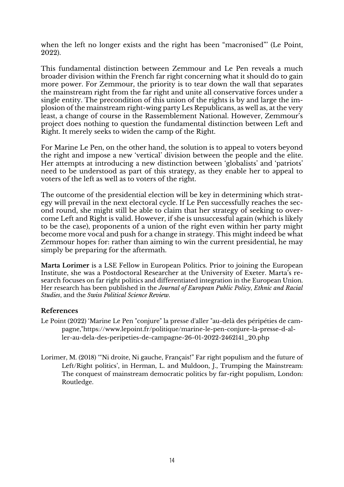when the left no longer exists and the right has been "macronised"' (Le Point, 2022).

This fundamental distinction between Zemmour and Le Pen reveals a much broader division within the French far right concerning what it should do to gain more power. For Zemmour, the priority is to tear down the wall that separates the mainstream right from the far right and unite all conservative forces under a single entity. The precondition of this union of the rights is by and large the implosion of the mainstream right-wing party Les Republicans, as well as, at the very least, a change of course in the Rassemblement National. However, Zemmour's project does nothing to question the fundamental distinction between Left and Right. It merely seeks to widen the camp of the Right.

For Marine Le Pen, on the other hand, the solution is to appeal to voters beyond the right and impose a new 'vertical' division between the people and the elite. Her attempts at introducing a new distinction between 'globalists' and 'patriots' need to be understood as part of this strategy, as they enable her to appeal to voters of the left as well as to voters of the right.

The outcome of the presidential election will be key in determining which strategy will prevail in the next electoral cycle. If Le Pen successfully reaches the second round, she might still be able to claim that her strategy of seeking to overcome Left and Right is valid. However, if she is unsuccessful again (which is likely to be the case), proponents of a union of the right even within her party might become more vocal and push for a change in strategy. This might indeed be what Zemmour hopes for: rather than aiming to win the current presidential, he may simply be preparing for the aftermath.

**Marta Lorimer** is a LSE Fellow in European Politics. Prior to joining the European Institute, she was a Postdoctoral Researcher at the University of Exeter. Marta's research focuses on far right politics and differentiated integration in the European Union. Her research has been published in the *Journal of European Public Policy*, *Ethnic and Racial Studies*, and the *Swiss Political Science Review*.

#### **References**

- Le Point (2022) 'Marine Le Pen "conjure" la presse d'aller "au-delà des péripéties de campagne,"https://www.lepoint.fr/politique/marine-le-pen-conjure-la-presse-d-aller-au-dela-des-peripeties-de-campagne-26-01-2022-2462141\_20.php
- Lorimer, M. (2018) '"Ni droite, Ni gauche, Français!" Far right populism and the future of Left/Right politics', in Herman, L. and Muldoon, J., Trumping the Mainstream: The conquest of mainstream democratic politics by far-right populism, London: Routledge.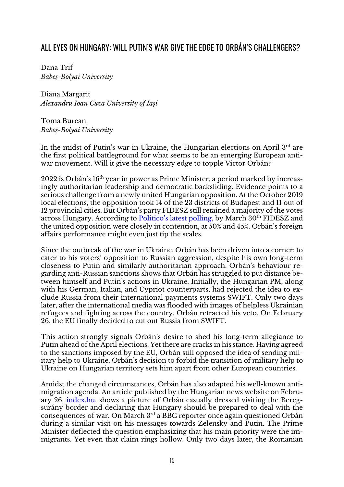#### ALL EYES ON HUNGARY: WILL PUTIN'S WAR GIVE THE EDGE TO ORBÁN'S CHALLENGERS?

Dana Trif *Babeș-Bolyai University*

Diana Margarit *Alexandru Ioan Cuza University of Iași*

Toma Burean *Babeș-Bolyai University*

In the midst of Putin's war in Ukraine, the Hungarian elections on April 3<sup>rd</sup> are the first political battleground for what seems to be an emerging European antiwar movement. Will it give the necessary edge to topple Victor Orbán?

2022 is Orbán's 16th year in power as Prime Minister, a period marked by increasingly authoritarian leadership and democratic backsliding. Evidence points to a serious challenge from a newly united Hungarian opposition. At the October 2019 local elections, the opposition took 14 of the 23 districts of Budapest and 11 out of 12 provincial cities. But Orbán's party FIDESZ still retained a majority of the votes across Hungary. According to Politico's latest polling, by March 30<sup>th</sup> FIDESZ and the united opposition were closely in contention, at 50% and 45%. Orbán's foreign affairs performance might even just tip the scales.

Since the outbreak of the war in Ukraine, Orbán has been driven into a corner: to cater to his voters' opposition to Russian aggression, despite his own long-term closeness to Putin and similarly authoritarian approach. Orbán's behaviour regarding anti-Russian sanctions shows that Orbán has struggled to put distance between himself and Putin's actions in Ukraine. Initially, the Hungarian PM, along with his German, Italian, and Cypriot counterparts, had rejected the idea to exclude Russia from their international payments systems SWIFT. Only two days later, after the international media was flooded with images of helpless Ukrainian refugees and fighting across the country, Orbán retracted his veto. On February 26, the EU finally decided to cut out Russia from SWIFT.

This action strongly signals Orbán's desire to shed his long-term allegiance to Putin ahead of the April elections. Yet there are cracks in his stance. Having agreed to the sanctions imposed by the EU, Orbán still opposed the idea of sending military help to Ukraine. Orbán's decision to forbid the transition of military help to Ukraine on Hungarian territory sets him apart from other European countries.

Amidst the changed circumstances, Orbán has also adapted his well-known antimigration agenda. An article published by the Hungarian news website on February 26, index.hu, shows a picture of Orbán casually dressed visiting the Beregsurány border and declaring that Hungary should be prepared to deal with the consequences of war. On March  $3<sup>rd</sup>$  a BBC reporter once again questioned Orbán during a similar visit on his messages towards Zelensky and Putin. The Prime Minister deflected the question emphasizing that his main priority were the immigrants. Yet even that claim rings hollow. Only two days later, the Romanian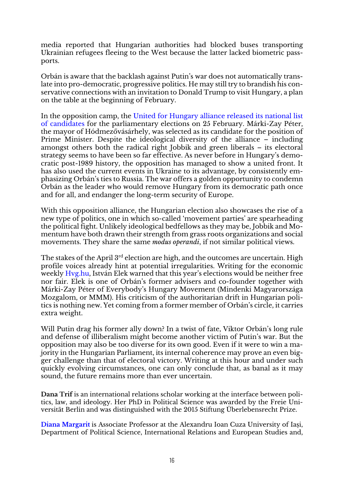media reported that Hungarian authorities had blocked buses transporting Ukrainian refugees fleeing to the West because the latter lacked biometric passports.

Orbán is aware that the backlash against Putin's war does not automatically translate into pro-democratic, progressive politics. He may still try to brandish his conservative connections with an invitation to Donald Trump to visit Hungary, a plan on the table at the beginning of February.

In the opposition camp, the United for Hungary alliance released its national list of candidates for the parliamentary elections on 25 February. Márki-Zay Péter, the mayor of Hódmezővásárhely, was selected as its candidate for the position of Prime Minister. Despite the ideological diversity of the alliance – including amongst others both the radical right Jobbik and green liberals – its electoral strategy seems to have been so far effective. As never before in Hungary's democratic post-1989 history, the opposition has managed to show a united front. It has also used the current events in Ukraine to its advantage, by consistently emphasizing Orbán's ties to Russia. The war offers a golden opportunity to condemn Orbán as the leader who would remove Hungary from its democratic path once and for all, and endanger the long-term security of Europe.

With this opposition alliance, the Hungarian election also showcases the rise of a new type of politics, one in which so-called 'movement parties' are spearheading the political fight. Unlikely ideological bedfellows as they may be, Jobbik and Momentum have both drawn their strength from grass roots organizations and social movements. They share the same *modus operandi*, if not similar political views.

The stakes of the April 3<sup>rd</sup> election are high, and the outcomes are uncertain. High profile voices already hint at potential irregularities. Writing for the economic weekly Hvg.hu, István Elek warned that this year's elections would be neither free nor fair. Elek is one of Orbán's former advisers and co-founder together with Márki-Zay Péter of Everybody's Hungary Movement (Mindenki Magyarországa Mozgalom, or MMM). His criticism of the authoritarian drift in Hungarian politics is nothing new. Yet coming from a former member of Orbán's circle, it carries extra weight.

Will Putin drag his former ally down? In a twist of fate, Viktor Orbán's long rule and defense of illiberalism might become another victim of Putin's war. But the opposition may also be too diverse for its own good. Even if it were to win a majority in the Hungarian Parliament, its internal coherence may prove an even bigger challenge than that of electoral victory. Writing at this hour and under such quickly evolving circumstances, one can only conclude that, as banal as it may sound, the future remains more than ever uncertain.

**Dana Trif** is an international relations scholar working at the interface between politics, law, and ideology. Her PhD in Political Science was awarded by the Freie Universität Berlin and was distinguished with the 2015 Stiftung Überlebensrecht Prize.

**Diana Margarit** is Associate Professor at the Alexandru Ioan Cuza University of Iași, Department of Political Science, International Relations and European Studies and,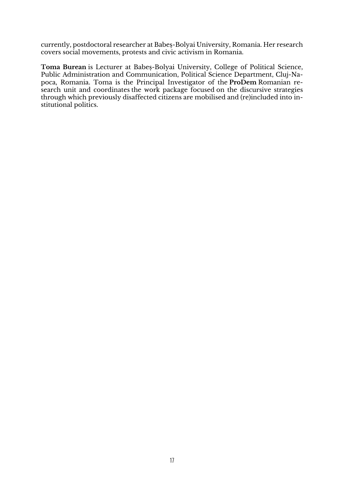currently, postdoctoral researcher at Babeș-Bolyai University, Romania. Her research covers social movements, protests and civic activism in Romania.

**Toma Burean** is Lecturer at Babeș-Bolyai University, College of Political Science, Public Administration and Communication, Political Science Department, Cluj-Napoca, Romania. Toma is the Principal Investigator of the **ProDem** Romanian research unit and coordinates the work package focused on the discursive strategies through which previously disaffected citizens are mobilised and (re)included into institutional politics.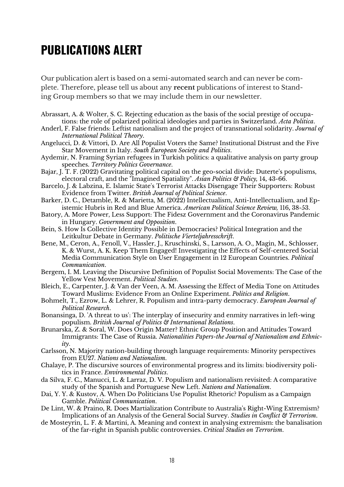## **PUBLICATIONS ALERT**

Our publication alert is based on a semi-automated search and can never be complete. Therefore, please tell us about any **recent** publications of interest to Standing Group members so that we may include them in our newsletter.

- Abrassart, A. & Wolter, S. C. Rejecting education as the basis of the social prestige of occupations: the role of polarized political ideologies and parties in Switzerland. *Acta Politica*.
- Anderl, F. False friends: Leftist nationalism and the project of transnational solidarity. *Journal of International Political Theory*.
- Angelucci, D. & Vittori, D. Are All Populist Voters the Same? Institutional Distrust and the Five Star Movement in Italy. *South European Society and Politics*.
- Aydemir, N. Framing Syrian refugees in Turkish politics: a qualitative analysis on party group speeches. *Territory Politics Governance*.
- Bajar, J. T. F. (2022) Gravitating political capital on the geo-social divide: Duterte's populisms, electoral craft, and the "Imagined Spatiality". *Asian Politics & Policy,* 14**,** 43-66.
- Barcelo, J. & Labzina, E. Islamic State's Terrorist Attacks Disengage Their Supporters: Robust Evidence from Twitter. *British Journal of Political Science*.
- Barker, D. C., Detamble, R. & Marietta, M. (2022) Intellectualism, Anti-Intellectualism, and Epistemic Hubris in Red and Blue America. *American Political Science Review,* 116**,** 38-53.
- Batory, A. More Power, Less Support: The Fidesz Government and the Coronavirus Pandemic in Hungary. *Government and Opposition*.
- Bein, S. How Is Collective Identity Possible in Democracies? Political Integration and the Leitkultur Debate in Germany. *Politische Vierteljahresschrift*.
- Bene, M., Ceron, A., Fenoll, V., Hassler, J., Kruschinski, S., Larsson, A. O., Magin, M., Schlosser, K. & Wurst, A. K. Keep Them Engaged! Investigating the Effects of Self-centered Social Media Communication Style on User Engagement in 12 European Countries. *Political Communication*.
- Bergem, I. M. Leaving the Discursive Definition of Populist Social Movements: The Case of the Yellow Vest Movement. *Political Studies*.
- Bleich, E., Carpenter, J. & Van der Veen, A. M. Assessing the Effect of Media Tone on Attitudes Toward Muslims: Evidence From an Online Experiment. *Politics and Religion*.
- Bohmelt, T., Ezrow, L. & Lehrer, R. Populism and intra-party democracy. *European Journal of Political Research*.
- Bonansinga, D. 'A threat to us': The interplay of insecurity and enmity narratives in left-wing populism. *British Journal of Politics & International Relations*.
- Brunarska, Z. & Soral, W. Does Origin Matter? Ethnic Group Position and Attitudes Toward Immigrants: The Case of Russia. *Nationalities Papers-the Journal of Nationalism and Ethnicity*.
- Carlsson, N. Majority nation-building through language requirements: Minority perspectives from EU27. *Nations and Nationalism*.
- Chalaye, P. The discursive sources of environmental progress and its limits: biodiversity politics in France. *Environmental Politics*.
- da Silva, F. C., Manucci, L. & Larraz, D. V. Populism and nationalism revisited: A comparative study of the Spanish and Portuguese New Left. *Nations and Nationalism*.
- Dai, Y. Y. & Kustov, A. When Do Politicians Use Populist Rhetoric? Populism as a Campaign Gamble. *Political Communication*.
- De Lint, W. & Praino, R. Does Martialization Contribute to Australia's Right-Wing Extremism? Implications of an Analysis of the General Social Survey. *Studies in Conflict & Terrorism*.
- de Mosteyrin, L. F. & Martini, A. Meaning and context in analysing extremism: the banalisation of the far-right in Spanish public controversies. *Critical Studies on Terrorism*.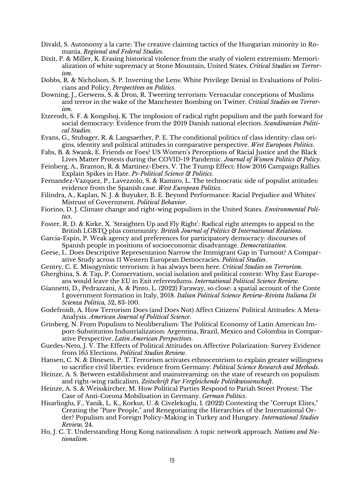- Divald, S. Autonomy a la carte: The creative claiming tactics of the Hungarian minority in Romania. *Regional and Federal Studies*.
- Dixit, P. & Miller, K. Erasing historical violence from the study of violent extremism: Memorialization of white supremacy at Stone Mountain, United States. *Critical Studies on Terrorism*.
- Dobbs, R. & Nicholson, S. P. Inverting the Lens: White Privilege Denial in Evaluations of Politicians and Policy. *Perspectives on Politics*.
- Downing, J., Gerwens, S. & Dron, R. Tweeting terrorism: Vernacular conceptions of Muslims and terror in the wake of the Manchester Bombing on Twitter. *Critical Studies on Terrorism*.
- Etzerodt, S. F. & Kongshoj, K. The implosion of radical right populism and the path forward for social democracy: Evidence from the 2019 Danish national election. *Scandinavian Political Studies*.
- Evans, G., Stubager, R. & Langsaether, P. E. The conditional politics of class identity: class origins, identity and political attitudes in comparative perspective. *West European Politics*.
- Fahs, B. & Swank, E. Friends or Foes? US Women's Perceptions of Racial Justice and the Black Lives Matter Protests during the COVID-19 Pandemic. *Journal of Women Politics & Policy*.
- Feinberg, A., Branton, R. & Martinez-Ebers, V. The Trump Effect: How 2016 Campaign Rallies Explain Spikes in Hate. *Ps-Political Science & Politics*.
- Fernandez-Vazquez, P., Lavezzolo, S. & Ramiro, L. The technocratic side of populist attitudes: evidence from the Spanish case. *West European Politics*.
- Filindra, A., Kaplan, N. J. & Buyuker, B. E. Beyond Performance: Racial Prejudice and Whites' Mistrust of Government. *Political Behavior*.
- Fiorino, D. J. Climate change and right-wing populism in the United States. *Environmental Politics*.
- Foster, R. D. & Kirke, X. 'Straighten Up and Fly Right': Radical right attempts to appeal to the British LGBTQ plus community. *British Journal of Politics & International Relations*.
- Garcia-Espin, P. Weak agency and preferences for participatory democracy: discourses of Spanish people in positions of socioeconomic disadvantage. *Democratization*.
- Geese, L. Does Descriptive Representation Narrow the Immigrant Gap in Turnout? A Comparative Study across 11 Western European Democracies. *Political Studies*.
- Gentry, C. E. Misogynistic terrorism: it has always been here. *Critical Studies on Terrorism*.
- Gherghina, S. & Tap, P. Conservatism, social isolation and political context: Why East Europeans would leave the EU in Exit referendums. *International Political Science Review*.
- Giannetti, D., Pedrazzani, A. & Pinto, L. (2022) Faraway, so close: a spatial account of the Conte I government formation in Italy, 2018. *Italian Political Science Review-Rivista Italiana Di Scienza Politica,* 52**,** 83-100.
- Godefroidt, A. How Terrorism Does (and Does Not) Affect Citizens' Political Attitudes: A Meta-Analysis. *American Journal of Political Science*.
- Grinberg, N. From Populism to Neoliberalism: The Political Economy of Latin American Import-Substitution Industrialization: Argentina, Brazil, Mexico and Colombia in Comparative Perspective. *Latin American Perspectives*.
- Guedes-Neto, J. V. The Effects of Political Attitudes on Affective Polarization: Survey Evidence from 165 Elections. *Political Studies Review*.
- Hansen, C. N. & Dinesen, P. T. Terrorism activates ethnocentrism to explain greater willingness to sacrifice civil liberties: evidence from Germany. *Political Science Research and Methods*.
- Heinze, A. S. Between establishment and mainstreaming: on the state of research on populism and right-wing radicalism. *Zeitschrift Fur Vergleichende Politikwissenschaft*.
- Heinze, A. S. & Weisskircher, M. How Political Parties Respond to Pariah Street Protest: The Case of Anti-Corona Mobilisation in Germany. *German Politics*.
- Hisarlioglu, F., Yanik, L. K., Korkut, U. & Civelekoglu, I. (2022) Contesting the "Corrupt Elites," Creating the "Pure People," and Renegotiating the Hierarchies of the International Order? Populism and Foreign Policy-Making in Turkey and Hungary. *International Studies Review,* 24.
- Ho, J. C. T. Understanding Hong Kong nationalism: A topic network approach. *Nations and Nationalism*.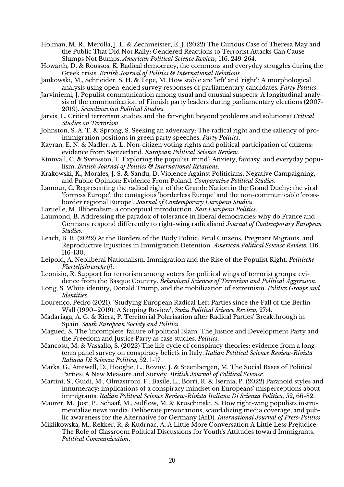- Holman, M. R., Merolla, J. L. & Zechmeister, E. J. (2022) The Curious Case of Theresa May and the Public That Did Not Rally: Gendered Reactions to Terrorist Attacks Can Cause Slumps Not Bumps. *American Political Science Review,* 116**,** 249-264.
- Howarth, D. & Roussos, K. Radical democracy, the commons and everyday struggles during the Greek crisis. *British Journal of Politics & International Relations*.
- Jankowski, M., Schneider, S. H. & Tepe, M. How stable are 'left' and 'right'? A morphological analysis using open-ended survey responses of parliamentary candidates. *Party Politics*.
- Jarviniemi, J. Populist communication among usual and unusual suspects: A longitudinal analysis of the communication of Finnish party leaders during parliamentary elections (2007- 2019). *Scandinavian Political Studies*.
- Jarvis, L. Critical terrorism studies and the far-right: beyond problems and solutions? *Critical Studies on Terrorism*.
- Johnston, S. A. T. & Sprong, S. Seeking an adversary: The radical right and the saliency of proimmigration positions in green party speeches. *Party Politics*.
- Kayran, E. N. & Nadler, A. L. Non-citizen voting rights and political participation of citizens: evidence from Switzerland. *European Political Science Review*.
- Kinnvall, C. & Svensson, T. Exploring the populist 'mind': Anxiety, fantasy, and everyday populism. *British Journal of Politics & International Relations*.
- Krakowski, K., Morales, J. S. & Sandu, D. Violence Against Politicians, Negative Campaigning, and Public Opinion: Evidence From Poland. *Comparative Political Studies*.
- Lamour, C. Representing the radical right of the Grande Nation in the Grand Duchy: the viral 'fortress Europe', the contagious 'borderless Europe' and the non-communicable 'crossborder regional Europe'. *Journal of Contemporary European Studies*.
- Laruelle, M. Illiberalism: a conceptual introduction. *East European Politics*.
- Laumond, B. Addressing the paradox of tolerance in liberal democracies: why do France and Germany respond differently to right-wing radicalism? *Journal of Contemporary European Studies*.
- Leach, B. R. (2022) At the Borders of the Body Politic: Fetal Citizens, Pregnant Migrants, and Reproductive Injustices in Immigration Detention. *American Political Science Review,* 116**,** 116-130.
- Leipold, A. Neoliberal Nationalism. Immigration and the Rise of the Populist Right. *Politische Vierteljahresschrift*.
- Leonisio, R. Support for terrorism among voters for political wings of terrorist groups: evidence from the Basque Country. *Behavioral Sciences of Terrorism and Political Aggression*.
- Long, S. White identity, Donald Trump, and the mobilization of extremism. *Politics Groups and Identities*.
- Lourenço, Pedro (2021). 'Studying European Radical Left Parties since the Fall of the Berlin Wall (1990–2019): A Scoping Review', *Swiss Political Science Review*, 27:4.
- Madariaga, A. G. & Riera, P. Territorial Polarisation after Radical Parties' Breakthrough in Spain. *South European Society and Politics*.
- Magued, S. The 'incomplete' failure of political Islam: The Justice and Development Party and the Freedom and Justice Party as case studies. *Politics*.
- Mancosu, M. & Vassallo, S. (2022) The life cycle of conspiracy theories: evidence from a longterm panel survey on conspiracy beliefs in Italy. *Italian Political Science Review-Rivista Italiana Di Scienza Politica,* 52**,** 1-17.
- Marks, G., Attewell, D., Hooghe, L., Rovny, J. & Steenbergen, M. The Social Bases of Political Parties: A New Measure and Survey. *British Journal of Political Science*.
- Martini, S., Guidi, M., Olmastroni, F., Basile, L., Borri, R. & Isernia, P. (2022) Paranoid styles and innumeracy: implications of a conspiracy mindset on Europeans' misperceptions about immigrants. *Italian Political Science Review-Rivista Italiana Di Scienza Politica,* 52**,** 66-82.
- Maurer, M., Jost, P., Schaaf, M., Sulflow, M. & Kruschinski, S. How right-wing populists instrumentalize news media: Deliberate provocations, scandalizing media coverage, and public awareness for the Alternative for Germany (AfD). *International Journal of Press-Politics*.
- Miklikowska, M., Rekker, R. & Kudrnac, A. A Little More Conversation A Little Less Prejudice: The Role of Classroom Political Discussions for Youth's Attitudes toward Immigrants. *Political Communication*.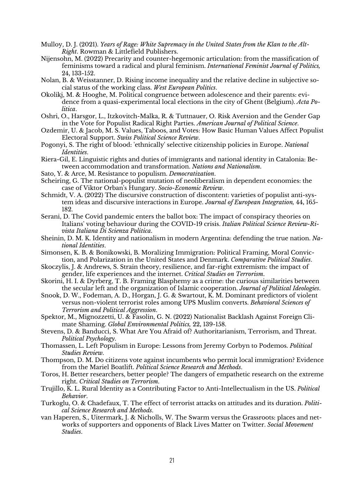- Mulloy, D. J. (2021). *Years of Rage: White Supremacy in the United States from the Klan to the Alt-Right*. Rowman & Littlefield Publishers.
- Nijensohn, M. (2022) Precarity and counter-hegemonic articulation: from the massification of feminisms toward a radical and plural feminism. *International Feminist Journal of Politics,* 24**,** 133-152.
- Nolan, B. & Weisstanner, D. Rising income inequality and the relative decline in subjective social status of the working class. *West European Politics*.
- Okolikj, M. & Hooghe, M. Political congruence between adolescence and their parents: evidence from a quasi-experimental local elections in the city of Ghent (Belgium). *Acta Politica*.
- Oshri, O., Harsgor, L., Itzkovitch-Malka, R. & Tuttnauer, O. Risk Aversion and the Gender Gap in the Vote for Populist Radical Right Parties. *American Journal of Political Science*.
- Ozdemir, U. & Jacob, M. S. Values, Taboos, and Votes: How Basic Human Values Affect Populist Electoral Support. *Swiss Political Science Review*.
- Pogonyi, S. The right of blood: 'ethnically' selective citizenship policies in Europe. *National Identities*.
- Riera-Gil, E. Linguistic rights and duties of immigrants and national identity in Catalonia: Between accommodation and transformation. *Nations and Nationalism*.
- Sato, Y. & Arce, M. Resistance to populism. *Democratization*.
- Scheiring, G. The national-populist mutation of neoliberalism in dependent economies: the case of Viktor Orban's Hungary. *Socio-Economic Review*.
- Schmidt, V. A. (2022) The discursive construction of discontent: varieties of populist anti-system ideas and discursive interactions in Europe. *Journal of European Integration,* 44**,** 165- 182.
- Serani, D. The Covid pandemic enters the ballot box: The impact of conspiracy theories on Italians' voting behaviour during the COVID-19 crisis. *Italian Political Science Review-Rivista Italiana Di Scienza Politica*.
- Sheinin, D. M. K. Identity and nationalism in modern Argentina: defending the true nation. *National Identities*.
- Simonsen, K. B. & Bonikowski, B. Moralizing Immigration: Political Framing, Moral Conviction, and Polarization in the United States and Denmark. *Comparative Political Studies*.
- Skoczylis, J. & Andrews, S. Strain theory, resilience, and far-right extremism: the impact of gender, life experiences and the internet. *Critical Studies on Terrorism*.
- Skorini, H. I. & Dyrberg, T. B. Framing Blasphemy as a crime: the curious similarities between the secular left and the organization of Islamic cooperation. *Journal of Political Ideologies*.
- Snook, D. W., Fodeman, A. D., Horgan, J. G. & Swartout, K. M. Dominant predictors of violent versus non-violent terrorist roles among UPS Muslim converts. *Behavioral Sciences of Terrorism and Political Aggression*.
- Spektor, M., Mignozzetti, U. & Fasolin, G. N. (2022) Nationalist Backlash Against Foreign Climate Shaming. *Global Environmental Politics,* 22**,** 139-158.
- Stevens, D. & Banducci, S. What Are You Afraid of? Authoritarianism, Terrorism, and Threat. *Political Psychology*.
- Thomassen, L. Left Populism in Europe: Lessons from Jeremy Corbyn to Podemos. *Political Studies Review*.
- Thompson, D. M. Do citizens vote against incumbents who permit local immigration? Evidence from the Mariel Boatlift. *Political Science Research and Methods*.
- Toros, H. Better researchers, better people? The dangers of empathetic research on the extreme right. *Critical Studies on Terrorism*.
- Trujillo, K. L. Rural Identity as a Contributing Factor to Anti-Intellectualism in the US. *Political Behavior*.
- Turkoglu, O. & Chadefaux, T. The effect of terrorist attacks on attitudes and its duration. *Political Science Research and Methods*.
- van Haperen, S., Uitermark, J. & Nicholls, W. The Swarm versus the Grassroots: places and networks of supporters and opponents of Black Lives Matter on Twitter. *Social Movement Studies*.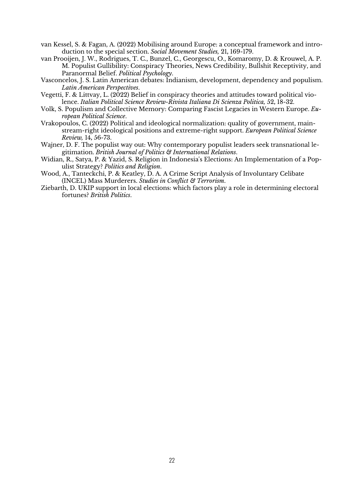- van Kessel, S. & Fagan, A. (2022) Mobilising around Europe: a conceptual framework and introduction to the special section. *Social Movement Studies,* 21**,** 169-179.
- van Prooijen, J. W., Rodrigues, T. C., Bunzel, C., Georgescu, O., Komaromy, D. & Krouwel, A. P. M. Populist Gullibility: Conspiracy Theories, News Credibility, Bullshit Receptivity, and Paranormal Belief. *Political Psychology*.
- Vasconcelos, J. S. Latin American debates: Indianism, development, dependency and populism. *Latin American Perspectives*.
- Vegetti, F. & Littvay, L. (2022) Belief in conspiracy theories and attitudes toward political violence. *Italian Political Science Review-Rivista Italiana Di Scienza Politica,* 52**,** 18-32.
- Volk, S. Populism and Collective Memory: Comparing Fascist Legacies in Western Europe. *European Political Science*.
- Vrakopoulos, C. (2022) Political and ideological normalization: quality of government, mainstream-right ideological positions and extreme-right support. *European Political Science Review,* 14**,** 56-73.
- Wajner, D. F. The populist way out: Why contemporary populist leaders seek transnational legitimation. *British Journal of Politics & International Relations*.
- Widian, R., Satya, P. & Yazid, S. Religion in Indonesia's Elections: An Implementation of a Populist Strategy? *Politics and Religion*.
- Wood, A., Tanteckchi, P. & Keatley, D. A. A Crime Script Analysis of Involuntary Celibate (INCEL) Mass Murderers. *Studies in Conflict & Terrorism*.
- Ziebarth, D. UKIP support in local elections: which factors play a role in determining electoral fortunes? *British Politics*.